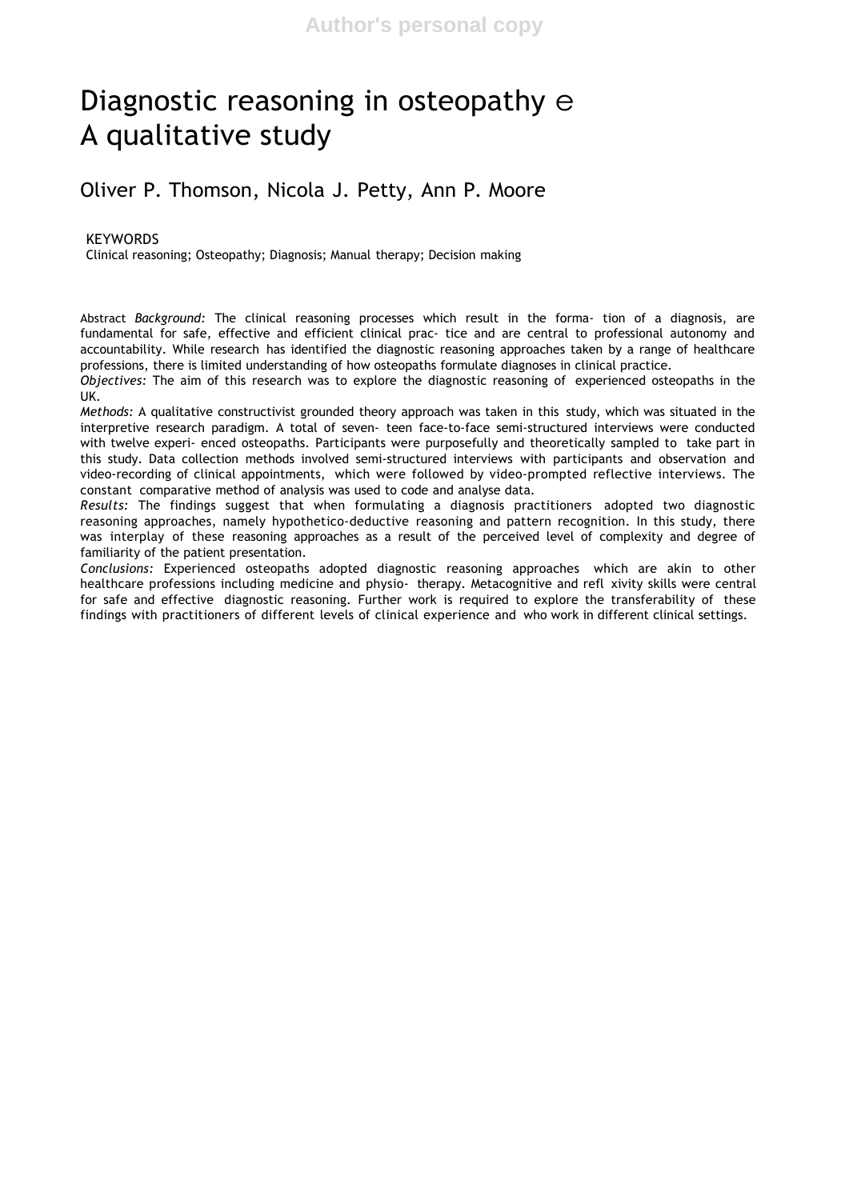# Diagnostic reasoning in osteopathy e A qualitative study

## Oliver P. Thomson, Nicola J. Petty, Ann P. Moore

#### KEYWORDS

Clinical reasoning; Osteopathy; Diagnosis; Manual therapy; Decision making

Abstract *Background:* The clinical reasoning processes which result in the forma- tion of a diagnosis, are fundamental for safe, effective and efficient clinical prac- tice and are central to professional autonomy and accountability. While research has identified the diagnostic reasoning approaches taken by a range of healthcare professions, there is limited understanding of how osteopaths formulate diagnoses in clinical practice.

*Objectives:* The aim of this research was to explore the diagnostic reasoning of experienced osteopaths in the UK.

*Methods:* A qualitative constructivist grounded theory approach was taken in this study, which was situated in the interpretive research paradigm. A total of seven- teen face-to-face semi-structured interviews were conducted with twelve experi- enced osteopaths. Participants were purposefully and theoretically sampled to take part in this study. Data collection methods involved semi-structured interviews with participants and observation and video-recording of clinical appointments, which were followed by video-prompted reflective interviews. The constant comparative method of analysis was used to code and analyse data.

*Results:* The findings suggest that when formulating a diagnosis practitioners adopted two diagnostic reasoning approaches, namely hypothetico-deductive reasoning and pattern recognition. In this study, there was interplay of these reasoning approaches as a result of the perceived level of complexity and degree of familiarity of the patient presentation.

*Conclusions:* Experienced osteopaths adopted diagnostic reasoning approaches which are akin to other healthcare professions including medicine and physio- therapy. Metacognitive and refl xivity skills were central for safe and effective diagnostic reasoning. Further work is required to explore the transferability of these findings with practitioners of different levels of clinical experience and who work in different clinical settings.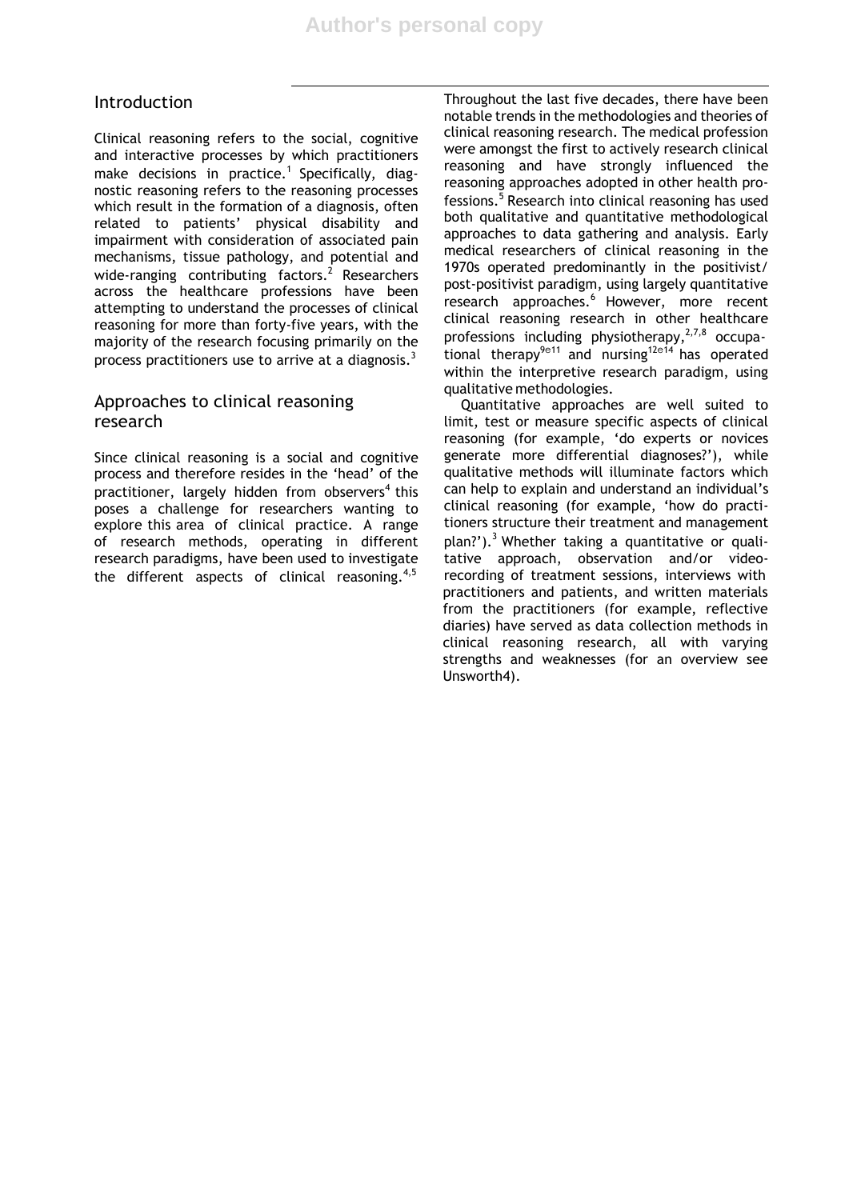## Introduction

Clinical reasoning refers to the social, cognitive and interactive processes by which practitioners make decisions in practice.<sup>1</sup> Specifically, diagnostic reasoning refers to the reasoning processes which result in the formation of a diagnosis, often related to patients' physical disability and impairment with consideration of associated pain mechanisms, tissue pathology, and potential and wide-ranging contributing factors. $^2$  Researchers across the healthcare professions have been attempting to understand the processes of clinical reasoning for more than forty-five years, with the majority of the research focusing primarily on the process practitioners use to arrive at a diagnosis.<sup>3</sup>

## Approaches to clinical reasoning research

Since clinical reasoning is a social and cognitive process and therefore resides in the 'head' of the practitioner, largely hidden from observers<sup>4</sup> this poses a challenge for researchers wanting to explore this area of clinical practice. A range of research methods, operating in different research paradigms, have been used to investigate the different aspects of clinical reasoning.<sup>4,5</sup>

Throughout the last five decades, there have been notable trends in the methodologies and theories of clinical reasoning research. The medical profession were amongst the first to actively research clinical reasoning and have strongly influenced the reasoning approaches adopted in other health professions.<sup>5</sup> Research into clinical reasoning has used both qualitative and quantitative methodological approaches to data gathering and analysis. Early medical researchers of clinical reasoning in the 1970s operated predominantly in the positivist/ post-positivist paradigm, using largely quantitative research approaches.<sup>6</sup> However, more recent clinical reasoning research in other healthcare professions including physiotherapy, $27,8$  occupational therapy<sup>9e11</sup> and nursing<sup>12e14</sup> has operated within the interpretive research paradigm, using qualitative methodologies.

Quantitative approaches are well suited to limit, test or measure specific aspects of clinical reasoning (for example, 'do experts or novices generate more differential diagnoses?'), while qualitative methods will illuminate factors which can help to explain and understand an individual's clinical reasoning (for example, 'how do practitioners structure their treatment and management plan?').<sup>3</sup> Whether taking a quantitative or qualitative approach, observation and/or videorecording of treatment sessions, interviews with practitioners and patients, and written materials from the practitioners (for example, reflective diaries) have served as data collection methods in clinical reasoning research, all with varying strengths and weaknesses (for an overview see Unsworth4).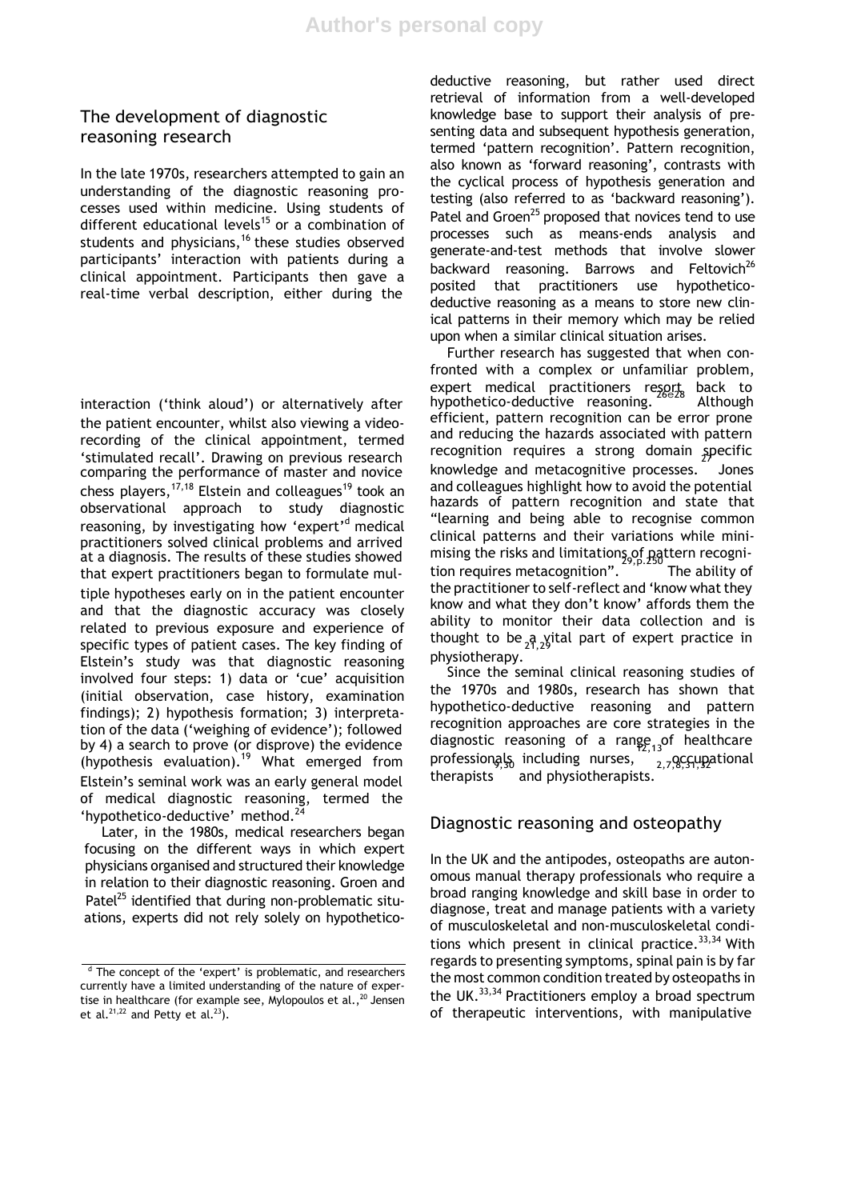## The development of diagnostic reasoning research

In the late 1970s, researchers attempted to gain an understanding of the diagnostic reasoning processes used within medicine. Using students of different educational levels<sup>15</sup> or a combination of students and physicians,<sup>16</sup> these studies observed participants' interaction with patients during a clinical appointment. Participants then gave a real-time verbal description, either during the

interaction ('think aloud') or alternatively after the patient encounter, whilst also viewing a videorecording of the clinical appointment, termed 'stimulated recall'. Drawing on previous research comparing the performance of master and novice chess players,  $17,18$  Elstein and colleagues<sup>19</sup> took an observational approach to study diagnostic reasoning, by investigating how 'expert'<sup>d</sup> medical practitioners solved clinical problems and arrived at a diagnosis. The results of these studies showed that expert practitioners began to formulate multiple hypotheses early on in the patient encounter and that the diagnostic accuracy was closely related to previous exposure and experience of specific types of patient cases. The key finding of Elstein's study was that diagnostic reasoning involved four steps: 1) data or 'cue' acquisition (initial observation, case history, examination findings); 2) hypothesis formation; 3) interpretation of the data ('weighing of evidence'); followed by 4) a search to prove (or disprove) the evidence (hypothesis evaluation).<sup>19</sup> What emerged from professionals including nurses,  $\frac{2}{2,7,8}$ ,  $\frac{1}{3,7}$ ,  $\frac{3}{2,7}$ ,  $\frac{1}{3,7}$ Elstein's seminal work was an early general model of medical diagnostic reasoning, termed the 'hypothetico-deductive' method.<sup>24</sup>

Later, in the 1980s, medical researchers began focusing on the different ways in which expert physicians organised and structured their knowledge in relation to their diagnostic reasoning. Groen and Patel<sup>25</sup> identified that during non-problematic situations, experts did not rely solely on hypotheticodeductive reasoning, but rather used direct retrieval of information from a well-developed knowledge base to support their analysis of presenting data and subsequent hypothesis generation, termed 'pattern recognition'. Pattern recognition, also known as 'forward reasoning', contrasts with the cyclical process of hypothesis generation and testing (also referred to as 'backward reasoning'). Patel and Groen<sup>25</sup> proposed that novices tend to use processes such as means-ends analysis and generate-and-test methods that involve slower backward reasoning. Barrows and Feltovich<sup>26</sup> posited that practitioners use hypotheticodeductive reasoning as a means to store new clinical patterns in their memory which may be relied upon when a similar clinical situation arises.

Further research has suggested that when confronted with a complex or unfamiliar problem, expert medical practitioners resort back to<br>hypothetico-deductive reasoning. <sup>26e28</sup> Although efficient, pattern recognition can be error prone and reducing the hazards associated with pattern recognition requires a strong domain specific<br>knowledge and metacognitive processes. Jones and colleagues highlight how to avoid the potential hazards of pattern recognition and state that "learning and being able to recognise common clinical patterns and their variations while minimising the risks and limitations of pattern recognition requires metacognition".<sup>27022</sup> The ability of the practitioner to self-reflect and 'know what they know and what they don't know' affords them the ability to monitor their data collection and is thought to be  $a_2$  vital part of expert practice in physiotherapy.

Since the seminal clinical reasoning studies of the 1970s and 1980s, research has shown that hypothetico-deductive reasoning and pattern recognition approaches are core strategies in the diagnostic reasoning of a range  $\frac{1}{2}$ ,  $\frac{1}{3}$  healthcare professiongly including nurses,  $\frac{1}{2}$ ,  $\frac{1}{2}$ ,  $\frac{1}{2}$ ,  $\frac{1}{2}$ ,  $\frac{1}{2}$ therapists<sup>3</sup> and physiotherapists.

## Diagnostic reasoning and osteopathy

In the UK and the antipodes, osteopaths are autonomous manual therapy professionals who require a broad ranging knowledge and skill base in order to diagnose, treat and manage patients with a variety of musculoskeletal and non-musculoskeletal conditions which present in clinical practice. $33,34$  With regards to presenting symptoms, spinal pain is by far the most common condition treated by osteopaths in the UK. $^{33,34}$  Practitioners employ a broad spectrum of therapeutic interventions, with manipulative

 $d$  The concept of the 'expert' is problematic, and researchers currently have a limited understanding of the nature of expertise in healthcare (for example see, Mylopoulos et al.,  $^{20}$  Jensen et al.<sup>21,22</sup> and Petty et al.<sup>23</sup>).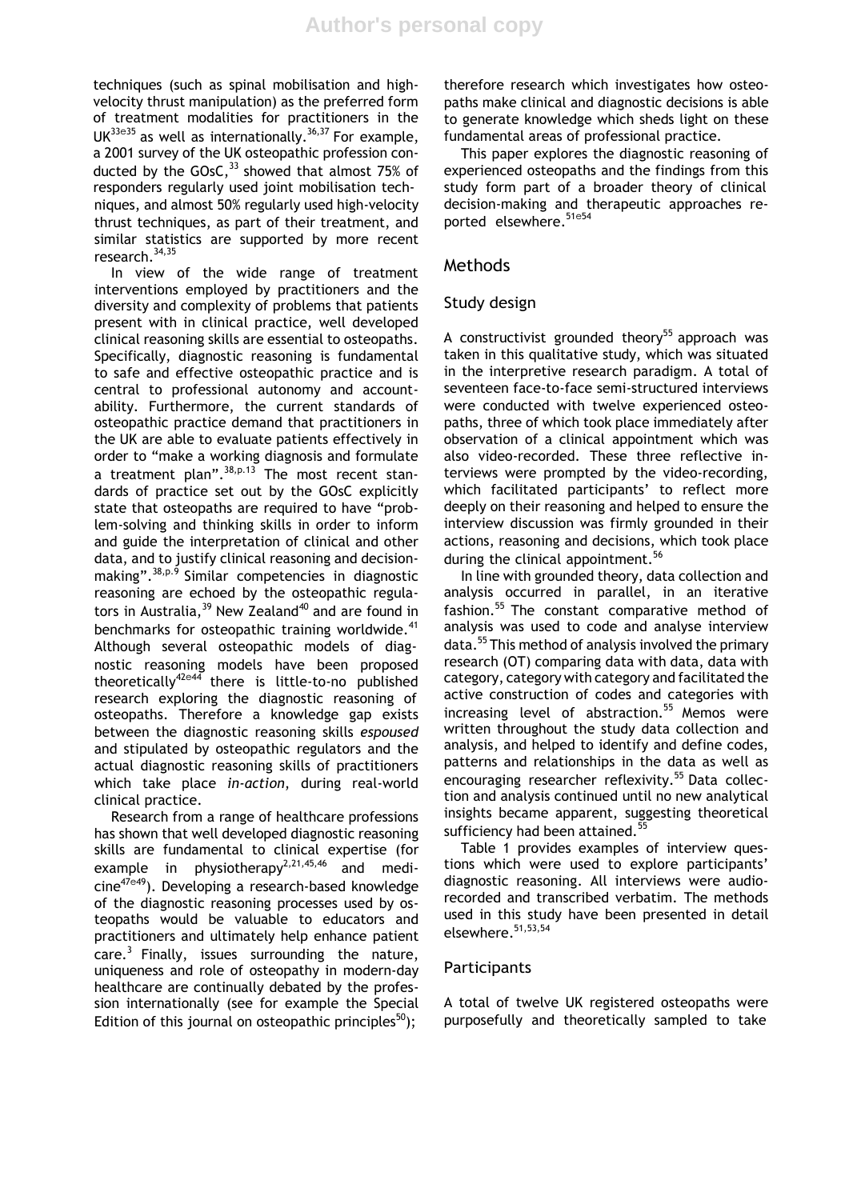techniques (such as spinal mobilisation and highvelocity thrust manipulation) as the preferred form of treatment modalities for practitioners in the  $UK^{33e35}$  as well as internationally.<sup>36,37</sup> For example, a 2001 survey of the UK osteopathic profession conducted by the GOsC,  $33$  showed that almost 75% of responders regularly used joint mobilisation techniques, and almost 50% regularly used high-velocity thrust techniques, as part of their treatment, and similar statistics are supported by more recent research.<sup>34,35</sup>

In view of the wide range of treatment interventions employed by practitioners and the diversity and complexity of problems that patients present with in clinical practice, well developed clinical reasoning skills are essential to osteopaths. Specifically, diagnostic reasoning is fundamental to safe and effective osteopathic practice and is central to professional autonomy and accountability. Furthermore, the current standards of osteopathic practice demand that practitioners in the UK are able to evaluate patients effectively in order to "make a working diagnosis and formulate a treatment plan".  $38, p.13$  The most recent standards of practice set out by the GOsC explicitly state that osteopaths are required to have "problem-solving and thinking skills in order to inform and guide the interpretation of clinical and other data, and to justify clinical reasoning and decisionmaking".38,p.9 Similar competencies in diagnostic reasoning are echoed by the osteopathic regulators in Australia,  $39$  New Zealand<sup>40</sup> and are found in benchmarks for osteopathic training worldwide.<sup>41</sup> Although several osteopathic models of diagnostic reasoning models have been proposed theoretically<sup>42</sup>e<sup>44</sup> there is little-to-no published research exploring the diagnostic reasoning of osteopaths. Therefore a knowledge gap exists between the diagnostic reasoning skills *espoused* and stipulated by osteopathic regulators and the actual diagnostic reasoning skills of practitioners which take place *in-action*, during real-world clinical practice.

Research from a range of healthcare professions has shown that well developed diagnostic reasoning skills are fundamental to clinical expertise (for example in physiotherapy<sup>2,21,45,46</sup> and medicine<sup>47e49</sup>). Developing a research-based knowledge of the diagnostic reasoning processes used by osteopaths would be valuable to educators and practitioners and ultimately help enhance patient care.<sup>3</sup> Finally, issues surrounding the nature, uniqueness and role of osteopathy in modern-day healthcare are continually debated by the profession internationally (see for example the Special Edition of this journal on osteopathic principles<sup>50</sup>);

therefore research which investigates how osteopaths make clinical and diagnostic decisions is able to generate knowledge which sheds light on these fundamental areas of professional practice.

This paper explores the diagnostic reasoning of experienced osteopaths and the findings from this study form part of a broader theory of clinical decision-making and therapeutic approaches reported elsewhere.<sup>51e54</sup>

#### Methods

#### Study design

A constructivist grounded theory<sup>55</sup> approach was taken in this qualitative study, which was situated in the interpretive research paradigm. A total of seventeen face-to-face semi-structured interviews were conducted with twelve experienced osteopaths, three of which took place immediately after observation of a clinical appointment which was also video-recorded. These three reflective interviews were prompted by the video-recording, which facilitated participants' to reflect more deeply on their reasoning and helped to ensure the interview discussion was firmly grounded in their actions, reasoning and decisions, which took place during the clinical appointment.<sup>56</sup>

In line with grounded theory, data collection and analysis occurred in parallel, in an iterative fashion.<sup>55</sup> The constant comparative method of analysis was used to code and analyse interview data.<sup>55</sup> This method of analysis involved the primary research (OT) comparing data with data, data with category, category with category and facilitated the active construction of codes and categories with increasing level of abstraction.<sup>55</sup> Memos were written throughout the study data collection and analysis, and helped to identify and define codes, patterns and relationships in the data as well as encouraging researcher reflexivity.<sup>55</sup> Data collection and analysis continued until no new analytical insights became apparent, suggesting theoretical sufficiency had been attained.<sup>55</sup>

Table 1 provides examples of interview questions which were used to explore participants' diagnostic reasoning. All interviews were audiorecorded and transcribed verbatim. The methods used in this study have been presented in detail elsewhere.<sup>51,53,54</sup>

#### **Participants**

A total of twelve UK registered osteopaths were purposefully and theoretically sampled to take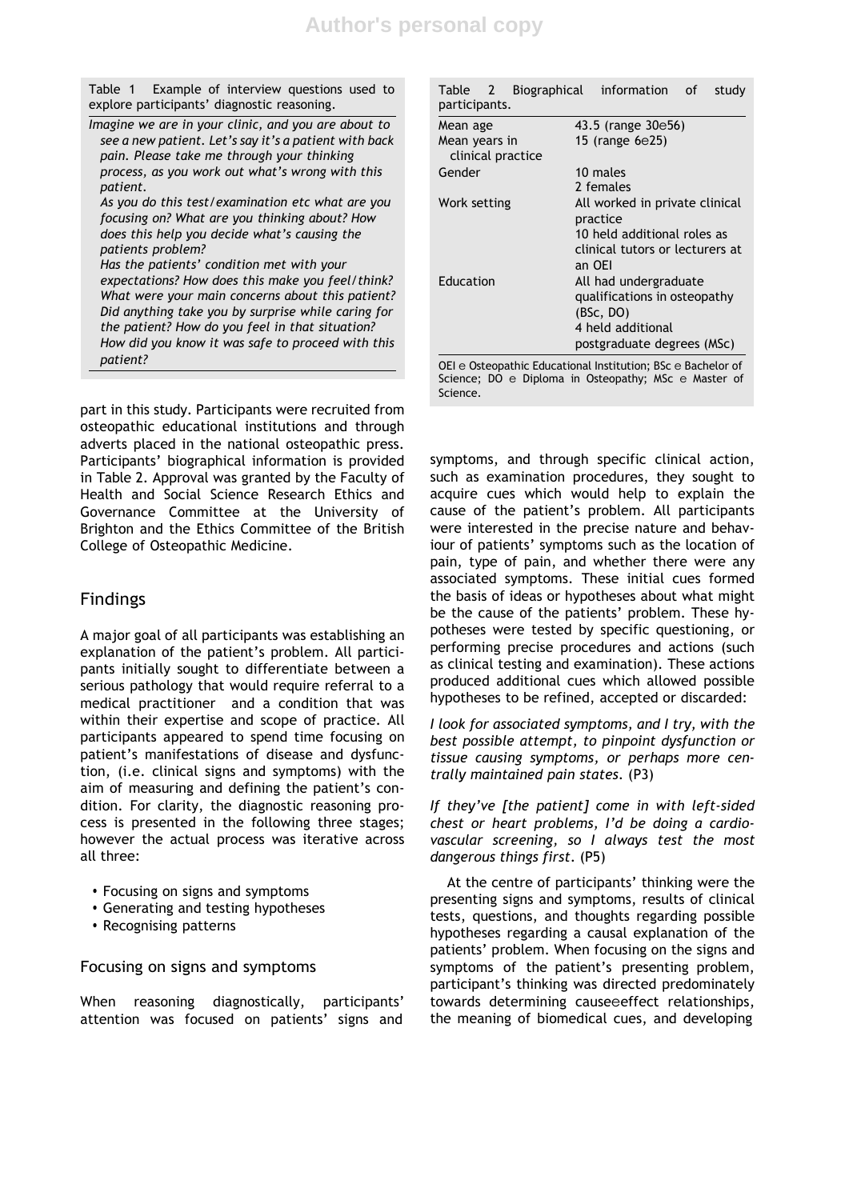Table 1 Example of interview questions used to explore participants' diagnostic reasoning.

| Imagine we are in your clinic, and you are about to<br>see a new patient. Let's say it's a patient with back |
|--------------------------------------------------------------------------------------------------------------|
| pain. Please take me through your thinking                                                                   |
| process, as you work out what's wrong with this                                                              |
| patient.                                                                                                     |
| As you do this test/examination etc what are you                                                             |
| focusing on? What are you thinking about? How                                                                |
| does this help you decide what's causing the                                                                 |
| patients problem?                                                                                            |
| Has the patients' condition met with your                                                                    |
| expectations? How does this make you feel/think?                                                             |
| What were your main concerns about this patient?                                                             |
| Did anything take you by surprise while caring for                                                           |
| the patient? How do you feel in that situation?                                                              |
| How did you know it was safe to proceed with this                                                            |

*patient?*

part in this study. Participants were recruited from osteopathic educational institutions and through adverts placed in the national osteopathic press. Participants' biographical information is provided in Table 2. Approval was granted by the Faculty of Health and Social Science Research Ethics and Governance Committee at the University of Brighton and the Ethics Committee of the British College of Osteopathic Medicine.

## Findings

A major goal of all participants was establishing an explanation of the patient's problem. All participants initially sought to differentiate between a serious pathology that would require referral to a medical practitioner and a condition that was within their expertise and scope of practice. All participants appeared to spend time focusing on patient's manifestations of disease and dysfunction, (i.e. clinical signs and symptoms) with the aim of measuring and defining the patient's condition. For clarity, the diagnostic reasoning process is presented in the following three stages; however the actual process was iterative across all three:

- Focusing on signs and symptoms
- Generating and testing hypotheses
- Recognising patterns

Focusing on signs and symptoms

When reasoning diagnostically, participants' attention was focused on patients' signs and

| Table 2 Biographical information of<br>participants. | study                                                                                                                           |
|------------------------------------------------------|---------------------------------------------------------------------------------------------------------------------------------|
| Mean age                                             | 43.5 (range 30e56)                                                                                                              |
| Mean years in<br>clinical practice                   | 15 (range 6e25)                                                                                                                 |
| Gender                                               | 10 males<br>2 females                                                                                                           |
| Work setting                                         | All worked in private clinical<br>practice<br>10 held additional roles as<br>clinical tutors or lecturers at                    |
| Education                                            | an OEI<br>All had undergraduate<br>qualifications in osteopathy<br>(BSc, DO)<br>4 held additional<br>postgraduate degrees (MSc) |

OEI e Osteopathic Educational Institution; BSc e Bachelor of Science; DO e Diploma in Osteopathy; MSc e Master of Science.

symptoms, and through specific clinical action, such as examination procedures, they sought to acquire cues which would help to explain the cause of the patient's problem. All participants were interested in the precise nature and behaviour of patients' symptoms such as the location of pain, type of pain, and whether there were any associated symptoms. These initial cues formed the basis of ideas or hypotheses about what might be the cause of the patients' problem. These hypotheses were tested by specific questioning, or performing precise procedures and actions (such as clinical testing and examination). These actions produced additional cues which allowed possible hypotheses to be refined, accepted or discarded:

*I look for associated symptoms, and I try, with the best possible attempt, to pinpoint dysfunction or tissue causing symptoms, or perhaps more centrally maintained pain states*. (P3)

*If they've [the patient] come in with left-sided chest or heart problems, I'd be doing a cardiovascular screening, so I always test the most dangerous things first*. (P5)

At the centre of participants' thinking were the presenting signs and symptoms, results of clinical tests, questions, and thoughts regarding possible hypotheses regarding a causal explanation of the patients' problem. When focusing on the signs and symptoms of the patient's presenting problem, participant's thinking was directed predominately towards determining causeeeffect relationships, the meaning of biomedical cues, and developing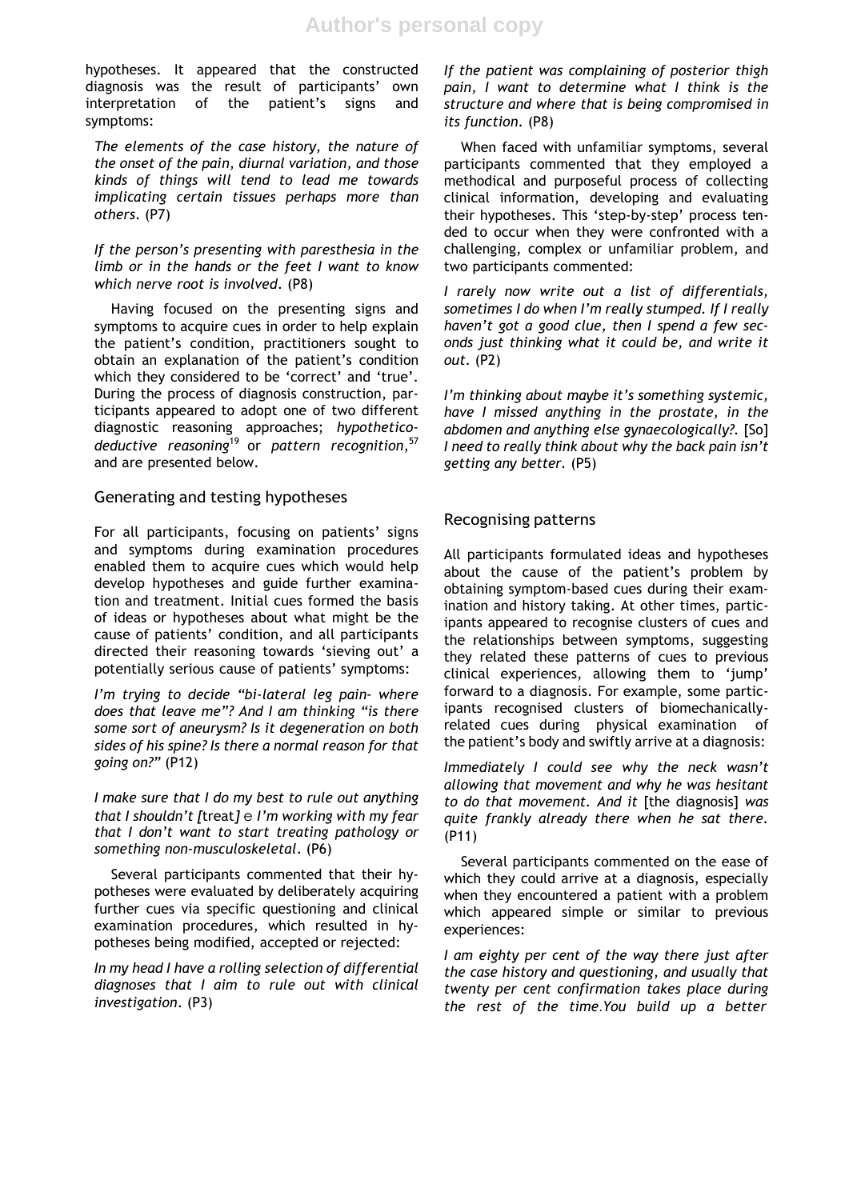hypotheses. It appeared that the constructed diagnosis was the result of participants' own interpretation of the patient's signs and symptoms:

*The elements of the case history, the nature of the onset of the pain, diurnal variation, and those kinds of things will tend to lead me towards implicating certain tissues perhaps more than others*. (P7)

*If the person's presenting with paresthesia in the limb or in the hands or the feet I want to know which nerve root is involved*. (P8)

Having focused on the presenting signs and symptoms to acquire cues in order to help explain the patient's condition, practitioners sought to obtain an explanation of the patient's condition which they considered to be 'correct' and 'true'. During the process of diagnosis construction, participants appeared to adopt one of two different diagnostic reasoning approaches; *hypotheticodeductive reasoning*<sup>19</sup> or *pattern recognition*, 57 and are presented below.

#### Generating and testing hypotheses

For all participants, focusing on patients' signs and symptoms during examination procedures enabled them to acquire cues which would help develop hypotheses and guide further examination and treatment. Initial cues formed the basis of ideas or hypotheses about what might be the cause of patients' condition, and all participants directed their reasoning towards 'sieving out' a potentially serious cause of patients' symptoms:

*I'm trying to decide "bi-lateral leg pain- where does that leave me"? And I am thinking "is there some sort of aneurysm? Is it degeneration on both sides of his spine? Is there a normal reason for that going on?"* (P12)

*I make sure that I do my best to rule out anything that I shouldn't [*treat*]* e *I'm working with my fear that I don't want to start treating pathology or something non-musculoskeletal*. (P6)

Several participants commented that their hypotheses were evaluated by deliberately acquiring further cues via specific questioning and clinical examination procedures, which resulted in hypotheses being modified, accepted or rejected:

*In my head I have a rolling selection of differential diagnoses that I aim to rule out with clinical investigation*. (P3)

*If the patient was complaining of posterior thigh pain, I want to determine what I think is the structure and where that is being compromised in its function*. (P8)

When faced with unfamiliar symptoms, several participants commented that they employed a methodical and purposeful process of collecting clinical information, developing and evaluating their hypotheses. This 'step-by-step' process tended to occur when they were confronted with a challenging, complex or unfamiliar problem, and two participants commented:

*I rarely now write out a list of differentials, sometimes I do when I'm really stumped. If I really haven't got a good clue, then I spend a few seconds just thinking what it could be, and write it out.* (P2)

*I'm thinking about maybe it's something systemic, have I missed anything in the prostate, in the abdomen and anything else gynaecologically?.* [So] *I need to really think about why the back pain isn't getting any better.* (P5)

#### Recognising patterns

All participants formulated ideas and hypotheses about the cause of the patient's problem by obtaining symptom-based cues during their examination and history taking. At other times, participants appeared to recognise clusters of cues and the relationships between symptoms, suggesting they related these patterns of cues to previous clinical experiences, allowing them to 'jump' forward to a diagnosis. For example, some participants recognised clusters of biomechanicallyrelated cues during physical examination of the patient's body and swiftly arrive at a diagnosis:

*Immediately I could see why the neck wasn't allowing that movement and why he was hesitant to do that movement. And it* [the diagnosis] *was quite frankly already there when he sat there.* (P11)

Several participants commented on the ease of which they could arrive at a diagnosis, especially when they encountered a patient with a problem which appeared simple or similar to previous experiences:

*I am eighty per cent of the way there just after the case history and questioning, and usually that twenty per cent confirmation takes place during the rest of the time*.*You build up a better*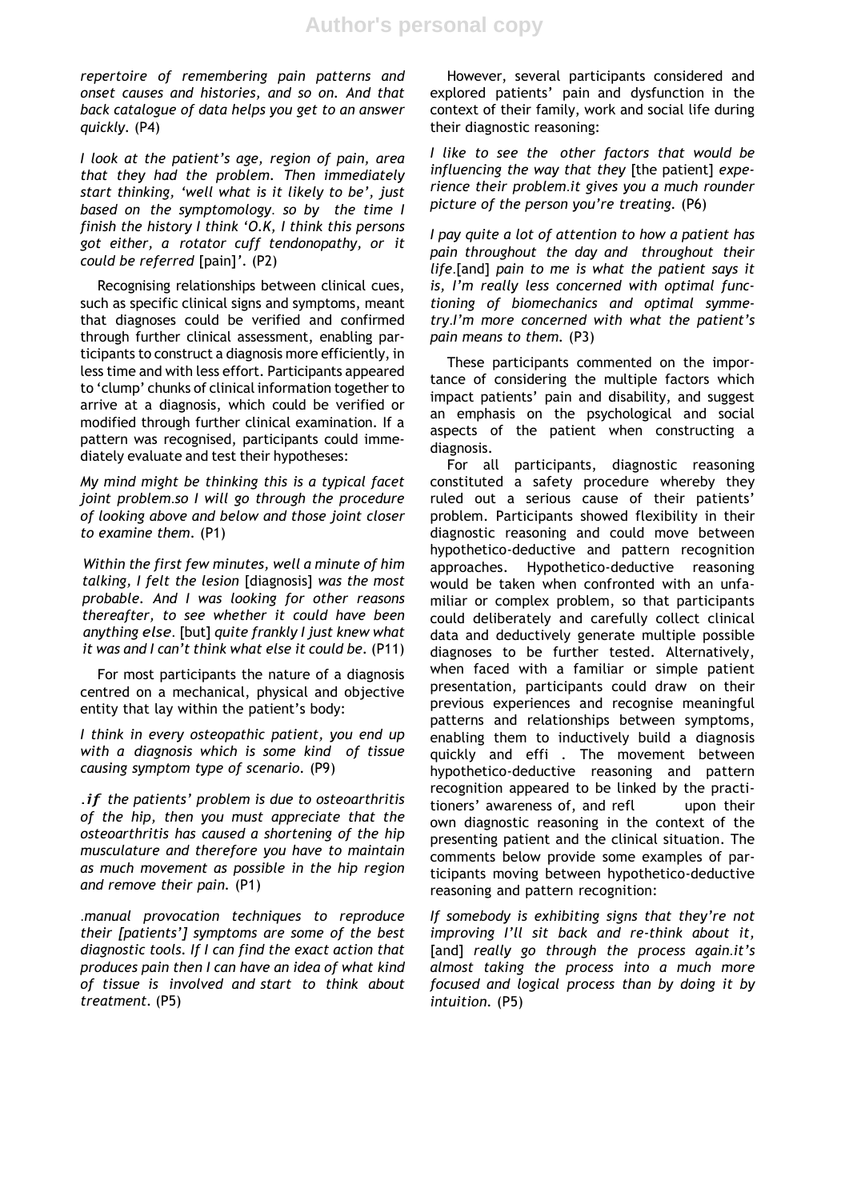*repertoire of remembering pain patterns and onset causes and histories, and so on. And that back catalogue of data helps you get to an answer quickly.* (P4)

*I look at the patient's age, region of pain, area that they had the problem. Then immediately start thinking, 'well what is it likely to be', just based on the symptomology*. *so by the time I finish the history I think 'O.K, I think this persons got either, a rotator cuff tendonopathy, or it could be referred* [pain]*'*. (P2)

Recognising relationships between clinical cues, such as specific clinical signs and symptoms, meant that diagnoses could be verified and confirmed through further clinical assessment, enabling participants to construct a diagnosis more efficiently, in less time and with less effort. Participants appeared to 'clump' chunks of clinical information together to arrive at a diagnosis, which could be verified or modified through further clinical examination. If a pattern was recognised, participants could immediately evaluate and test their hypotheses:

*My mind might be thinking this is a typical facet joint problem*.*so I will go through the procedure of looking above and below and those joint closer to examine them.* (P1)

*Within the first few minutes, well a minute of him talking, I felt the lesion* [diagnosis] *was the most probable. And I was looking for other reasons thereafter, to see whether it could have been anything else*. [but] *quite frankly I just knew what it was and I can't think what else it could be.* (P11)

For most participants the nature of a diagnosis centred on a mechanical, physical and objective entity that lay within the patient's body:

*I think in every osteopathic patient, you end up with a diagnosis which is some kind of tissue causing symptom type of scenario.* (P9)

.*if the patients' problem is due to osteoarthritis of the hip, then you must appreciate that the osteoarthritis has caused a shortening of the hip musculature and therefore you have to maintain as much movement as possible in the hip region and remove their pain.* (P1)

.*manual provocation techniques to reproduce their [patients'] symptoms are some of the best diagnostic tools. If I can find the exact action that produces pain then I can have an idea of what kind of tissue is involved and start to think about treatment.* (P5)

However, several participants considered and explored patients' pain and dysfunction in the context of their family, work and social life during their diagnostic reasoning:

*I like to see the other factors that would be influencing the way that they* [the patient] *experience their problem*.*it gives you a much rounder picture of the person you're treating.* (P6)

*I pay quite a lot of attention to how a patient has pain throughout the day and throughout their life*.[and] *pain to me is what the patient says it is, I'm really less concerned with optimal functioning of biomechanics and optimal symmetry*.*I'm more concerned with what the patient's pain means to them.* (P3)

These participants commented on the importance of considering the multiple factors which impact patients' pain and disability, and suggest an emphasis on the psychological and social aspects of the patient when constructing a diagnosis.

For all participants, diagnostic reasoning constituted a safety procedure whereby they ruled out a serious cause of their patients' problem. Participants showed flexibility in their diagnostic reasoning and could move between hypothetico-deductive and pattern recognition approaches. Hypothetico-deductive reasoning would be taken when confronted with an unfamiliar or complex problem, so that participants could deliberately and carefully collect clinical data and deductively generate multiple possible diagnoses to be further tested. Alternatively, when faced with a familiar or simple patient presentation, participants could draw on their previous experiences and recognise meaningful patterns and relationships between symptoms, enabling them to inductively build a diagnosis quickly and effi . The movement between hypothetico-deductive reasoning and pattern recognition appeared to be linked by the practitioners' awareness of, and refl upon their own diagnostic reasoning in the context of the presenting patient and the clinical situation. The comments below provide some examples of participants moving between hypothetico-deductive reasoning and pattern recognition:

*If somebody is exhibiting signs that they're not improving I'll sit back and re-think about it,* [and] *really go through the process again*.*it's almost taking the process into a much more focused and logical process than by doing it by intuition.* (P5)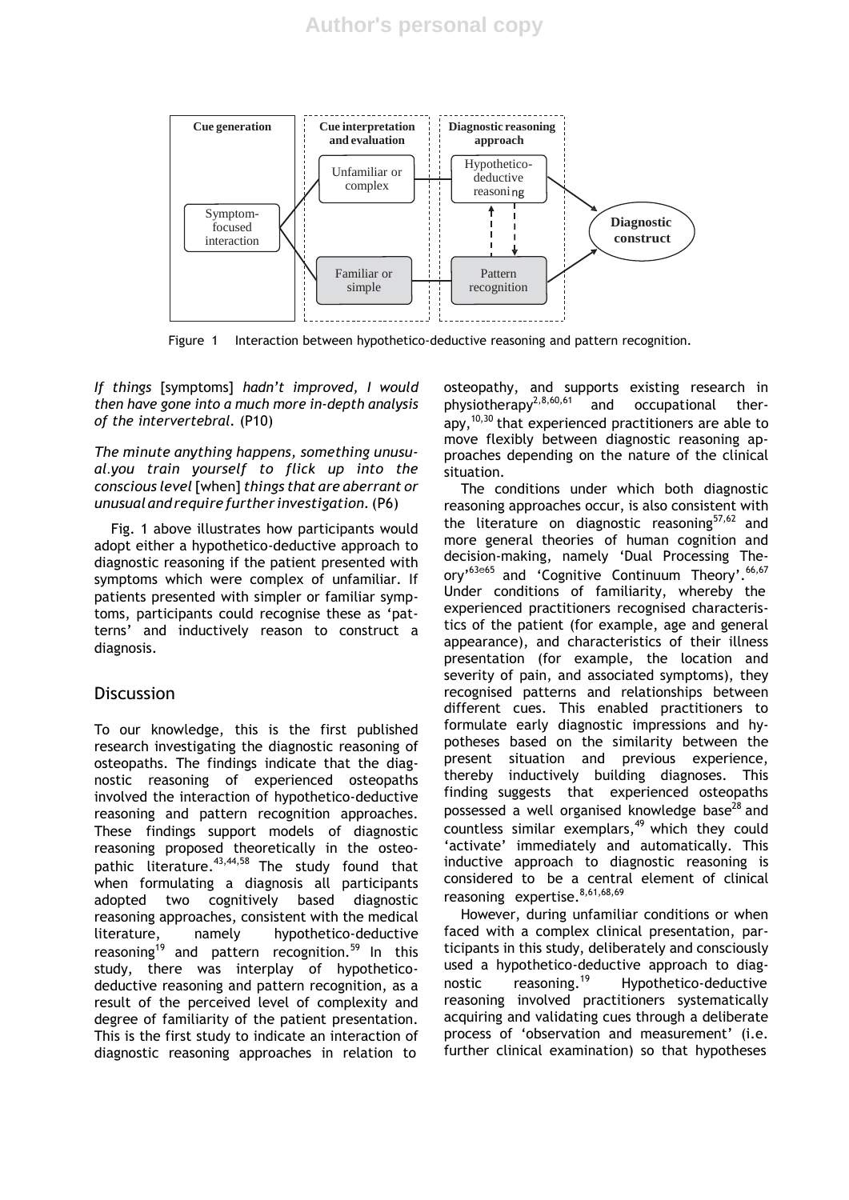

Figure 1 Interaction between hypothetico-deductive reasoning and pattern recognition.

*If things* [symptoms] *hadn't improved, I would then have gone into a much more in-depth analysis of the intervertebral.* (P10)

*The minute anything happens, something unusual*.*you train yourself to flick up into the conscious level*[when] *things that are aberrant or unusual andrequire further investigation.*(P6)

Fig. 1 above illustrates how participants would adopt either a hypothetico-deductive approach to diagnostic reasoning if the patient presented with symptoms which were complex of unfamiliar. If patients presented with simpler or familiar symptoms, participants could recognise these as 'patterns' and inductively reason to construct a diagnosis.

## Discussion

To our knowledge, this is the first published research investigating the diagnostic reasoning of osteopaths. The findings indicate that the diagnostic reasoning of experienced osteopaths involved the interaction of hypothetico-deductive reasoning and pattern recognition approaches. These findings support models of diagnostic reasoning proposed theoretically in the osteopathic literature.<sup>43,44,58</sup> The study found that when formulating a diagnosis all participants adopted two cognitively based diagnostic reasoning approaches, consistent with the medical literature, namely hypothetico-deductive reasoning<sup>19</sup> and pattern recognition.<sup>59</sup> In this study, there was interplay of hypotheticodeductive reasoning and pattern recognition, as a result of the perceived level of complexity and degree of familiarity of the patient presentation. This is the first study to indicate an interaction of diagnostic reasoning approaches in relation to

osteopathy, and supports existing research in physiotherapy<sup>2,8,60,61</sup> and occupational therapy, 10,30 that experienced practitioners are able to move flexibly between diagnostic reasoning approaches depending on the nature of the clinical situation.

The conditions under which both diagnostic reasoning approaches occur, is also consistent with the literature on diagnostic reasoning $57,62$  and more general theories of human cognition and decision-making, namely 'Dual Processing The- $\text{ory'}^{\text{63e65}}$  and 'Cognitive Continuum Theory'.  $\text{^{66,67}}$ Under conditions of familiarity, whereby the experienced practitioners recognised characteristics of the patient (for example, age and general appearance), and characteristics of their illness presentation (for example, the location and severity of pain, and associated symptoms), they recognised patterns and relationships between different cues. This enabled practitioners to formulate early diagnostic impressions and hypotheses based on the similarity between the present situation and previous experience, thereby inductively building diagnoses. This finding suggests that experienced osteopaths possessed a well organised knowledge base<sup>28</sup> and countless similar exemplars, $49$  which they could 'activate' immediately and automatically. This inductive approach to diagnostic reasoning is considered to be a central element of clinical reasoning expertise.<sup>8,61,68,69</sup>

However, during unfamiliar conditions or when faced with a complex clinical presentation, participants in this study, deliberately and consciously used a hypothetico-deductive approach to diag-<br>nostic reasoning.<sup>19</sup> Hypothetico-deductive nostic reasoning.<sup>19</sup> Hypothetico-deductive reasoning involved practitioners systematically acquiring and validating cues through a deliberate process of 'observation and measurement' (i.e. further clinical examination) so that hypotheses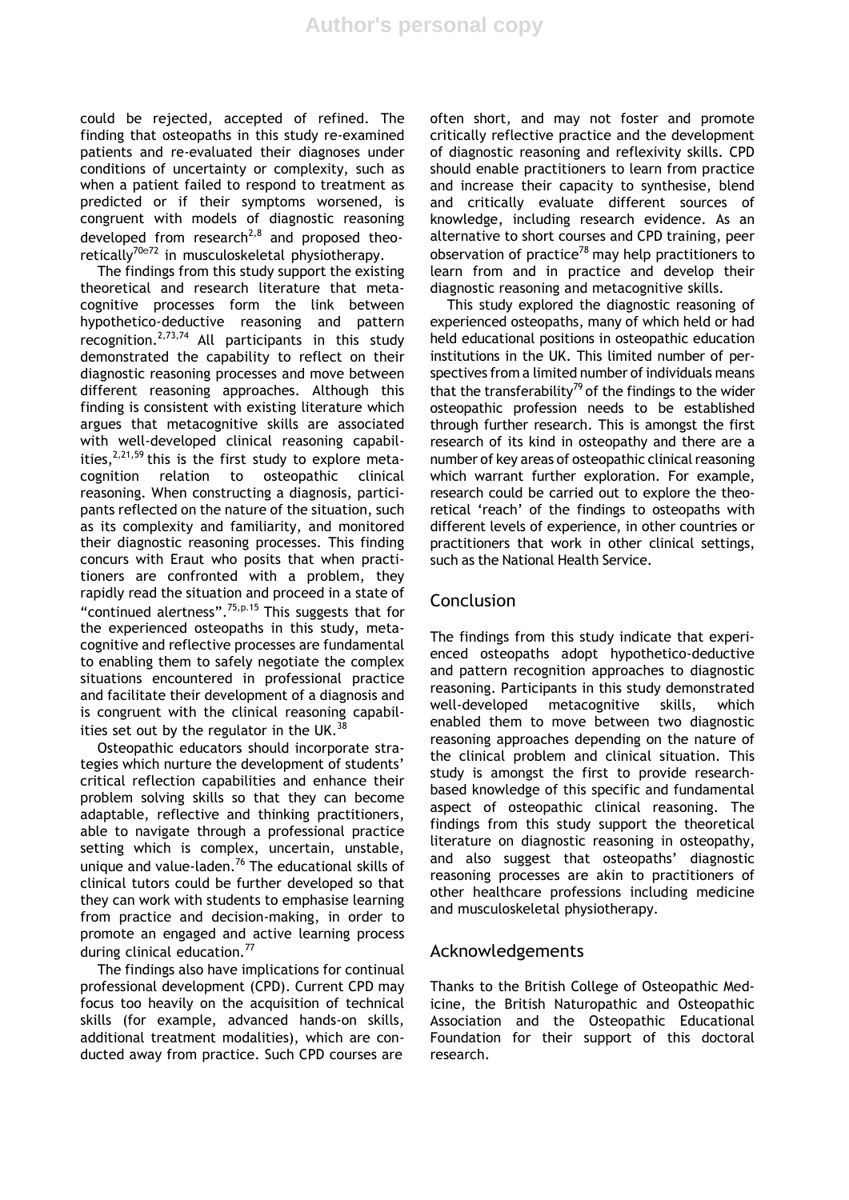could be rejected, accepted of refined. The finding that osteopaths in this study re-examined patients and re-evaluated their diagnoses under conditions of uncertainty or complexity, such as when a patient failed to respond to treatment as predicted or if their symptoms worsened, is congruent with models of diagnostic reasoning developed from research<sup>2,8</sup> and proposed theoretically<sup>70e72</sup> in musculoskeletal physiotherapy.

The findings from this study support the existing theoretical and research literature that metacognitive processes form the link between hypothetico-deductive reasoning and pattern recognition. $2,73,74$  All participants in this study demonstrated the capability to reflect on their diagnostic reasoning processes and move between different reasoning approaches. Although this finding is consistent with existing literature which argues that metacognitive skills are associated with well-developed clinical reasoning capabilities,  $2,21,59$  this is the first study to explore metacognition relation to osteopathic clinical reasoning. When constructing a diagnosis, participants reflected on the nature of the situation, such as its complexity and familiarity, and monitored their diagnostic reasoning processes. This finding concurs with Eraut who posits that when practitioners are confronted with a problem, they rapidly read the situation and proceed in a state of "continued alertness".75,p.15 This suggests that for the experienced osteopaths in this study, metacognitive and reflective processes are fundamental to enabling them to safely negotiate the complex situations encountered in professional practice and facilitate their development of a diagnosis and is congruent with the clinical reasoning capabilities set out by the regulator in the UK. $^{38}$ 

Osteopathic educators should incorporate strategies which nurture the development of students' critical reflection capabilities and enhance their problem solving skills so that they can become adaptable, reflective and thinking practitioners, able to navigate through a professional practice setting which is complex, uncertain, unstable, unique and value-laden.<sup>76</sup> The educational skills of clinical tutors could be further developed so that they can work with students to emphasise learning from practice and decision-making, in order to promote an engaged and active learning process during clinical education.<sup>77</sup>

The findings also have implications for continual professional development (CPD). Current CPD may focus too heavily on the acquisition of technical skills (for example, advanced hands-on skills, additional treatment modalities), which are conducted away from practice. Such CPD courses are

often short, and may not foster and promote critically reflective practice and the development of diagnostic reasoning and reflexivity skills. CPD should enable practitioners to learn from practice and increase their capacity to synthesise, blend and critically evaluate different sources of knowledge, including research evidence. As an alternative to short courses and CPD training, peer observation of practice<sup>78</sup> may help practitioners to learn from and in practice and develop their diagnostic reasoning and metacognitive skills.

This study explored the diagnostic reasoning of experienced osteopaths, many of which held or had held educational positions in osteopathic education institutions in the UK. This limited number of perspectives from a limited number of individuals means that the transferability<sup>79</sup> of the findings to the wider osteopathic profession needs to be established through further research. This is amongst the first research of its kind in osteopathy and there are a number of key areas of osteopathic clinical reasoning which warrant further exploration. For example, research could be carried out to explore the theoretical 'reach' of the findings to osteopaths with different levels of experience, in other countries or practitioners that work in other clinical settings, such as the National Health Service.

## Conclusion

The findings from this study indicate that experienced osteopaths adopt hypothetico-deductive and pattern recognition approaches to diagnostic reasoning. Participants in this study demonstrated well-developed metacognitive skills, which enabled them to move between two diagnostic reasoning approaches depending on the nature of the clinical problem and clinical situation. This study is amongst the first to provide researchbased knowledge of this specific and fundamental aspect of osteopathic clinical reasoning. The findings from this study support the theoretical literature on diagnostic reasoning in osteopathy, and also suggest that osteopaths' diagnostic reasoning processes are akin to practitioners of other healthcare professions including medicine and musculoskeletal physiotherapy.

## Acknowledgements

Thanks to the British College of Osteopathic Medicine, the British Naturopathic and Osteopathic Association and the Osteopathic Educational Foundation for their support of this doctoral research.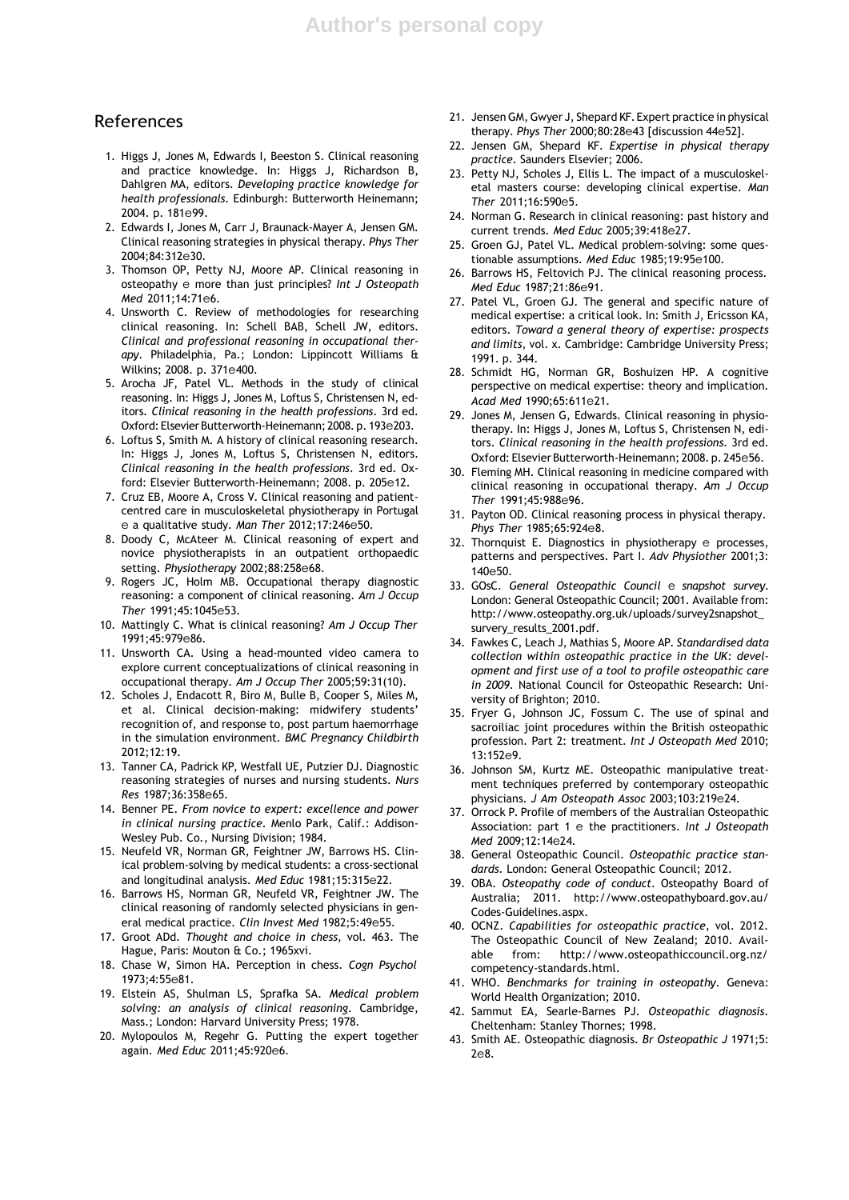#### References

- 1. Higgs J, Jones M, Edwards I, Beeston S. Clinical reasoning and practice knowledge. In: Higgs J, Richardson B, Dahlgren MA, editors. *Developing practice knowledge for health professionals*. Edinburgh: Butterworth Heinemann; 2004. p. 181e99.
- 2. Edwards I, Jones M, Carr J, Braunack-Mayer A, Jensen GM. Clinical reasoning strategies in physical therapy. *Phys Ther* 2004;84:312e30.
- 3. Thomson OP, Petty NJ, Moore AP. Clinical reasoning in osteopathy e more than just principles? *Int J Osteopath Med* 2011;14:71e6.
- 4. Unsworth C. Review of methodologies for researching clinical reasoning. In: Schell BAB, Schell JW, editors. *Clinical and professional reasoning in occupational therapy*. Philadelphia, Pa.; London: Lippincott Williams & Wilkins; 2008. p. 371e400.
- 5. Arocha JF, Patel VL. Methods in the study of clinical reasoning. In: Higgs J, Jones M, Loftus S, Christensen N, editors. *Clinical reasoning in the health professions*. 3rd ed. Oxford: Elsevier Butterworth-Heinemann; 2008. p. 193e203.
- 6. Loftus S, Smith M. A history of clinical reasoning research. In: Higgs J, Jones M, Loftus S, Christensen N, editors. *Clinical reasoning in the health professions*. 3rd ed. Oxford: Elsevier Butterworth-Heinemann; 2008. p. 205e12.
- 7. Cruz EB, Moore A, Cross V. Clinical reasoning and patientcentred care in musculoskeletal physiotherapy in Portugal e a qualitative study. *Man Ther* 2012;17:246e50.
- 8. Doody C, McAteer M. Clinical reasoning of expert and novice physiotherapists in an outpatient orthopaedic setting. *Physiotherapy* 2002;88:258e68.
- 9. Rogers JC, Holm MB. Occupational therapy diagnostic reasoning: a component of clinical reasoning. *Am J Occup Ther* 1991;45:1045e53.
- 10. Mattingly C. What is clinical reasoning? *Am J Occup Ther* 1991;45:979e86.
- 11. Unsworth CA. Using a head-mounted video camera to explore current conceptualizations of clinical reasoning in occupational therapy. *Am J Occup Ther* 2005;59:31(10).
- 12. Scholes J, Endacott R, Biro M, Bulle B, Cooper S, Miles M, et al. Clinical decision-making: midwifery students' recognition of, and response to, post partum haemorrhage in the simulation environment. *BMC Pregnancy Childbirth* 2012;12:19.
- 13. Tanner CA, Padrick KP, Westfall UE, Putzier DJ. Diagnostic reasoning strategies of nurses and nursing students. *Nurs Res* 1987;36:358e65.
- 14. Benner PE. *From novice to expert: excellence and power in clinical nursing practice*. Menlo Park, Calif.: Addison-Wesley Pub. Co., Nursing Division; 1984.
- 15. Neufeld VR, Norman GR, Feightner JW, Barrows HS. Clinical problem-solving by medical students: a cross-sectional and longitudinal analysis. *Med Educ* 1981;15:315e22.
- 16. Barrows HS, Norman GR, Neufeld VR, Feightner JW. The clinical reasoning of randomly selected physicians in general medical practice. *Clin Invest Med* 1982;5:49e55.
- 17. Groot ADd. *Thought and choice in chess*, vol. 463. The Hague, Paris: Mouton & Co.; 1965xvi.
- 18. Chase W, Simon HA. Perception in chess. *Cogn Psychol* 1973;4:55e81.
- 19. Elstein AS, Shulman LS, Sprafka SA. *Medical problem solving: an analysis of clinical reasoning*. Cambridge, Mass.; London: Harvard University Press; 1978.
- 20. Mylopoulos M, Regehr G. Putting the expert together again. *Med Educ* 2011;45:920e6.
- 21. Jensen GM, Gwyer J, Shepard KF.Expert practice in physical therapy. *Phys Ther* 2000;80:28e43 [discussion 44e52].
- 22. Jensen GM, Shepard KF. *Expertise in physical therapy practice*. Saunders Elsevier; 2006.
- 23. Petty NJ, Scholes J, Ellis L. The impact of a musculoskeletal masters course: developing clinical expertise. *Man Ther* 2011;16:590e5.
- 24. Norman G. Research in clinical reasoning: past history and current trends. *Med Educ* 2005;39:418e27.
- 25. Groen GJ, Patel VL. Medical problem-solving: some questionable assumptions. *Med Educ* 1985;19:95e100.
- 26. Barrows HS, Feltovich PJ. The clinical reasoning process. *Med Educ* 1987;21:86e91.
- 27. Patel VL, Groen GJ. The general and specific nature of medical expertise: a critical look. In: Smith J, Ericsson KA, editors. *Toward a general theory of expertise: prospects and limits*, vol. x. Cambridge: Cambridge University Press; 1991. p. 344.
- 28. Schmidt HG, Norman GR, Boshuizen HP. A cognitive perspective on medical expertise: theory and implication. *Acad Med* 1990;65:611e21.
- 29. Jones M, Jensen G, Edwards. Clinical reasoning in physiotherapy. In: Higgs J, Jones M, Loftus S, Christensen N, editors. *Clinical reasoning in the health professions*. 3rd ed. Oxford: Elsevier Butterworth-Heinemann; 2008. p. 245e56.
- 30. Fleming MH. Clinical reasoning in medicine compared with clinical reasoning in occupational therapy. *Am J Occup Ther* 1991;45:988e96.
- 31. Payton OD. Clinical reasoning process in physical therapy. *Phys Ther* 1985;65:924e8.
- 32. Thornquist E. Diagnostics in physiotherapy e processes, patterns and perspectives. Part I. *Adv Physiother* 2001;3: 140e50.
- 33. GOsC. *General Osteopathic Council* e *snapshot survey*. London: General Osteopathic Council; 2001. Available from: [http://www.osteopathy.org.uk/uploads/survey2snapshot\\_](http://www.osteopathy.org.uk/uploads/survey2snapshot_) survery\_results\_2001.pdf.
- 34. Fawkes C, Leach J, Mathias S, Moore AP. *Standardised data collection within osteopathic practice in the UK: development and first use of a tool to profile osteopathic care in 2009*. National Council for Osteopathic Research: University of Brighton; 2010.
- 35. Fryer G, Johnson JC, Fossum C. The use of spinal and sacroiliac joint procedures within the British osteopathic profession. Part 2: treatment. *Int J Osteopath Med* 2010; 13:152e9.
- 36. Johnson SM, Kurtz ME. Osteopathic manipulative treatment techniques preferred by contemporary osteopathic physicians. *J Am Osteopath Assoc* 2003;103:219e24.
- 37. Orrock P. Profile of members of the Australian Osteopathic Association: part 1 e the practitioners. *Int J Osteopath Med* 2009;12:14e24.
- 38. General Osteopathic Council. *Osteopathic practice standards*. London: General Osteopathic Council; 2012.
- 39. OBA. *Osteopathy code of conduct*. Osteopathy Board of Australia; 2011. <http://www.osteopathyboard.gov.au/> Codes-Guidelines.aspx.
- 40. OCNZ. *Capabilities for osteopathic practice*, vol. 2012. The Osteopathic Council of New Zealand; 2010. Available from: <http://www.osteopathiccouncil.org.nz/> competency-standards.html.
- 41. WHO. *Benchmarks for training in osteopathy*. Geneva: World Health Organization; 2010.
- 42. Sammut EA, Searle-Barnes PJ. *Osteopathic diagnosis*. Cheltenham: Stanley Thornes; 1998.
- 43. Smith AE. Osteopathic diagnosis. *Br Osteopathic J* 1971;5: 2e8.